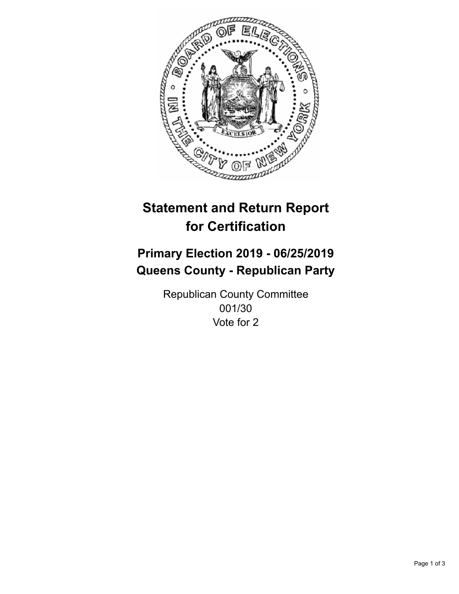

## **Statement and Return Report for Certification**

## **Primary Election 2019 - 06/25/2019 Queens County - Republican Party**

Republican County Committee 001/30 Vote for 2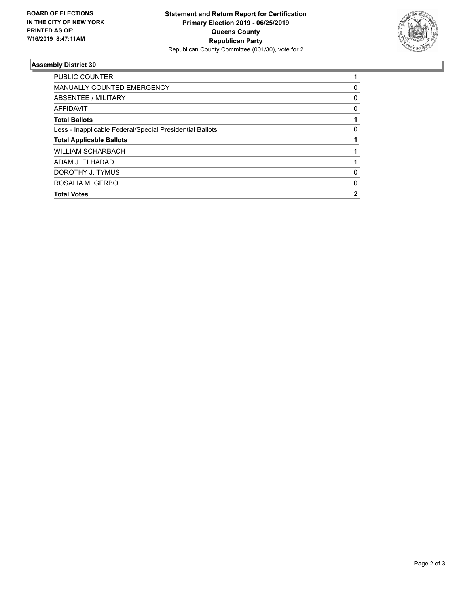

## **Assembly District 30**

| ROSALIA M. GERBO                                         | 0 |
|----------------------------------------------------------|---|
| DOROTHY J. TYMUS                                         | 0 |
| ADAM J. ELHADAD                                          |   |
| <b>WILLIAM SCHARBACH</b>                                 |   |
| <b>Total Applicable Ballots</b>                          |   |
| Less - Inapplicable Federal/Special Presidential Ballots | 0 |
| <b>Total Ballots</b>                                     |   |
| AFFIDAVIT                                                | 0 |
| ABSENTEE / MILITARY                                      | 0 |
| <b>MANUALLY COUNTED EMERGENCY</b>                        | 0 |
| PUBLIC COUNTER                                           |   |